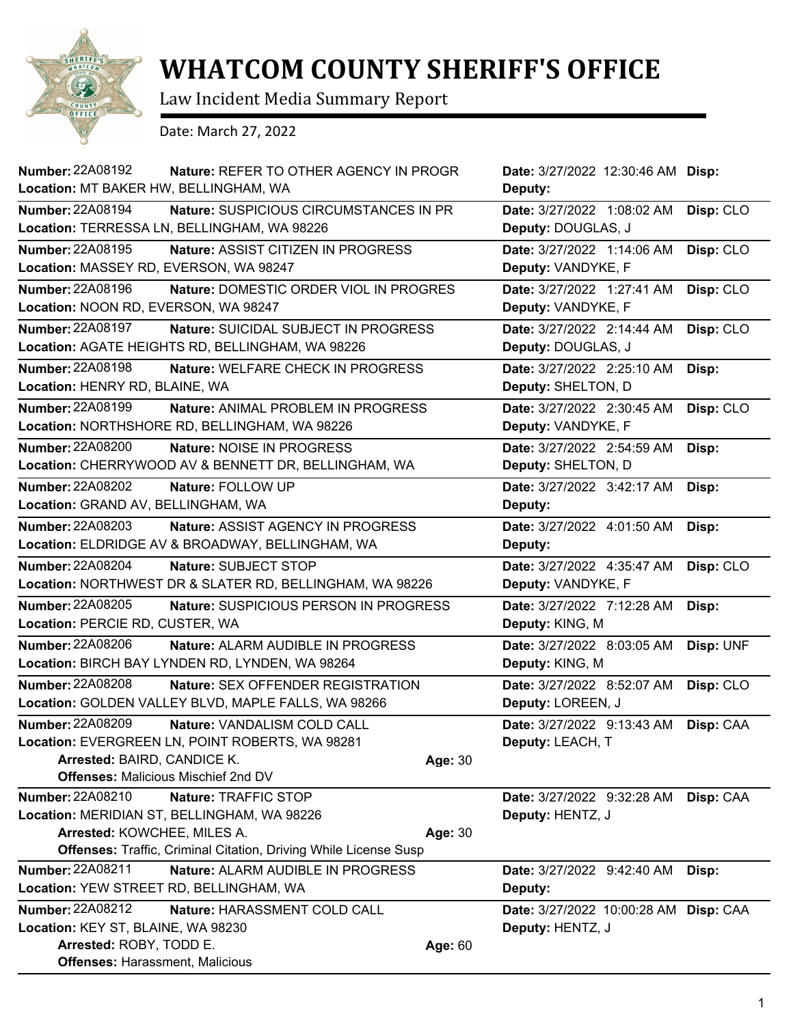

## **WHATCOM COUNTY SHERIFF'S OFFICE**

Law Incident Media Summary Report

Date: March 27, 2022

| <b>Number: 22A08192</b><br>Nature: REFER TO OTHER AGENCY IN PROGR<br>Location: MT BAKER HW, BELLINGHAM, WA                                                                             |         | Date: 3/27/2022 12:30:46 AM Disp:<br>Deputy:              |           |
|----------------------------------------------------------------------------------------------------------------------------------------------------------------------------------------|---------|-----------------------------------------------------------|-----------|
| <b>Number: 22A08194</b><br>Nature: SUSPICIOUS CIRCUMSTANCES IN PR<br>Location: TERRESSA LN, BELLINGHAM, WA 98226                                                                       |         | Date: 3/27/2022 1:08:02 AM<br>Deputy: DOUGLAS, J          | Disp: CLO |
| Number: 22A08195<br>Nature: ASSIST CITIZEN IN PROGRESS<br>Location: MASSEY RD, EVERSON, WA 98247                                                                                       |         | Date: 3/27/2022 1:14:06 AM<br>Deputy: VANDYKE, F          | Disp: CLO |
| <b>Number: 22A08196</b><br>Nature: DOMESTIC ORDER VIOL IN PROGRES                                                                                                                      |         | Date: 3/27/2022 1:27:41 AM                                | Disp: CLO |
| Location: NOON RD, EVERSON, WA 98247                                                                                                                                                   |         | Deputy: VANDYKE, F                                        |           |
| <b>Number: 22A08197</b><br>Nature: SUICIDAL SUBJECT IN PROGRESS<br>Location: AGATE HEIGHTS RD, BELLINGHAM, WA 98226                                                                    |         | Date: 3/27/2022 2:14:44 AM<br>Deputy: DOUGLAS, J          | Disp: CLO |
| Number: 22A08198<br>Nature: WELFARE CHECK IN PROGRESS                                                                                                                                  |         | Date: 3/27/2022 2:25:10 AM                                | Disp:     |
| Location: HENRY RD, BLAINE, WA                                                                                                                                                         |         | Deputy: SHELTON, D                                        |           |
| <b>Number: 22A08199</b><br>Nature: ANIMAL PROBLEM IN PROGRESS<br>Location: NORTHSHORE RD, BELLINGHAM, WA 98226                                                                         |         | Date: 3/27/2022 2:30:45 AM<br>Deputy: VANDYKE, F          | Disp: CLO |
| <b>Number: 22A08200</b><br>Nature: NOISE IN PROGRESS                                                                                                                                   |         | Date: 3/27/2022 2:54:59 AM                                | Disp:     |
| Location: CHERRYWOOD AV & BENNETT DR, BELLINGHAM, WA                                                                                                                                   |         | Deputy: SHELTON, D                                        |           |
| <b>Number: 22A08202</b><br>Nature: FOLLOW UP<br>Location: GRAND AV, BELLINGHAM, WA                                                                                                     |         | Date: 3/27/2022 3:42:17 AM<br>Deputy:                     | Disp:     |
| <b>Number: 22A08203</b><br><b>Nature: ASSIST AGENCY IN PROGRESS</b>                                                                                                                    |         | Date: 3/27/2022 4:01:50 AM                                | Disp:     |
| Location: ELDRIDGE AV & BROADWAY, BELLINGHAM, WA                                                                                                                                       |         | Deputy:                                                   |           |
| <b>Number: 22A08204</b><br>Nature: SUBJECT STOP<br>Location: NORTHWEST DR & SLATER RD, BELLINGHAM, WA 98226                                                                            |         | Date: 3/27/2022 4:35:47 AM<br>Deputy: VANDYKE, F          | Disp: CLO |
| <b>Number: 22A08205</b><br>Nature: SUSPICIOUS PERSON IN PROGRESS<br>Location: PERCIE RD, CUSTER, WA                                                                                    |         | Date: 3/27/2022 7:12:28 AM<br>Deputy: KING, M             | Disp:     |
| <b>Number: 22A08206</b><br>Nature: ALARM AUDIBLE IN PROGRESS<br>Location: BIRCH BAY LYNDEN RD, LYNDEN, WA 98264                                                                        |         | Date: 3/27/2022 8:03:05 AM<br>Deputy: KING, M             | Disp: UNF |
| Number: 22A08208<br><b>Nature: SEX OFFENDER REGISTRATION</b><br>Location: GOLDEN VALLEY BLVD, MAPLE FALLS, WA 98266                                                                    |         | Date: 3/27/2022 8:52:07 AM<br>Deputy: LOREEN, J           | Disp: CLO |
| <b>Number: 22A08209</b><br>Nature: VANDALISM COLD CALL<br>Location: EVERGREEN LN, POINT ROBERTS, WA 98281<br>Arrested: BAIRD, CANDICE K.<br><b>Offenses: Malicious Mischief 2nd DV</b> | Age: 30 | Date: 3/27/2022 9:13:43 AM<br>Deputy: LEACH, T            | Disp: CAA |
| <b>Number: 22A08210</b><br>Nature: TRAFFIC STOP<br>Location: MERIDIAN ST, BELLINGHAM, WA 98226<br>Arrested: KOWCHEE, MILES A.                                                          | Age: 30 | Date: 3/27/2022 9:32:28 AM<br>Deputy: HENTZ, J            | Disp: CAA |
| <b>Offenses: Traffic, Criminal Citation, Driving While License Susp</b>                                                                                                                |         |                                                           |           |
| <b>Number: 22A08211</b><br>Nature: ALARM AUDIBLE IN PROGRESS<br>Location: YEW STREET RD, BELLINGHAM, WA                                                                                |         | Date: 3/27/2022 9:42:40 AM<br>Deputy:                     | Disp:     |
| Number: 22A08212<br>Nature: HARASSMENT COLD CALL                                                                                                                                       |         |                                                           |           |
| Location: KEY ST, BLAINE, WA 98230                                                                                                                                                     |         | Date: 3/27/2022 10:00:28 AM Disp: CAA<br>Deputy: HENTZ, J |           |
| Arrested: ROBY, TODD E.<br><b>Offenses: Harassment, Malicious</b>                                                                                                                      | Age: 60 |                                                           |           |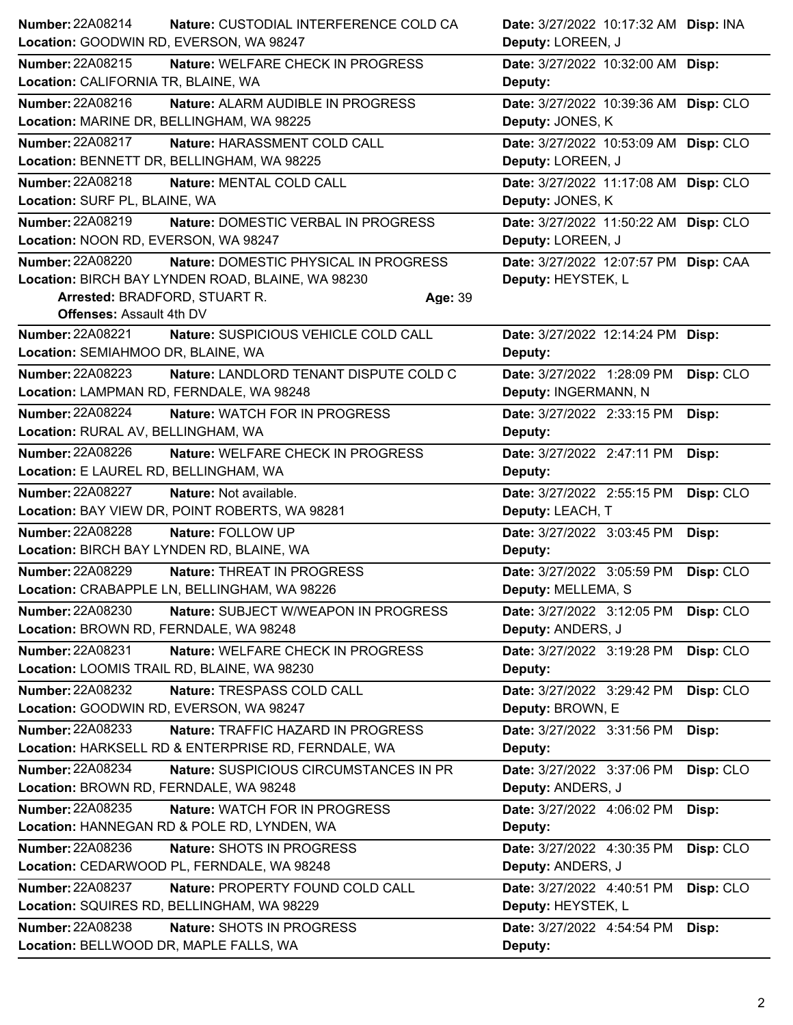|                                             | Nature: CUSTODIAL INTERFERENCE COLD CA              |         | Date: 3/27/2022 10:17:32 AM Disp: INA |           |
|---------------------------------------------|-----------------------------------------------------|---------|---------------------------------------|-----------|
|                                             | Location: GOODWIN RD, EVERSON, WA 98247             |         | Deputy: LOREEN, J                     |           |
| Number: 22A08215                            | Nature: WELFARE CHECK IN PROGRESS                   |         | Date: 3/27/2022 10:32:00 AM Disp:     |           |
| Location: CALIFORNIA TR, BLAINE, WA         |                                                     |         | Deputy:                               |           |
| Number: 22A08216                            | Nature: ALARM AUDIBLE IN PROGRESS                   |         | Date: 3/27/2022 10:39:36 AM Disp: CLO |           |
| Location: MARINE DR, BELLINGHAM, WA 98225   |                                                     |         | Deputy: JONES, K                      |           |
| <b>Number: 22A08217</b>                     | Nature: HARASSMENT COLD CALL                        |         | Date: 3/27/2022 10:53:09 AM Disp: CLO |           |
|                                             | Location: BENNETT DR, BELLINGHAM, WA 98225          |         | Deputy: LOREEN, J                     |           |
| <b>Number: 22A08218</b>                     | Nature: MENTAL COLD CALL                            |         | Date: 3/27/2022 11:17:08 AM Disp: CLO |           |
| Location: SURF PL, BLAINE, WA               |                                                     |         | Deputy: JONES, K                      |           |
| <b>Number: 22A08219</b>                     | Nature: DOMESTIC VERBAL IN PROGRESS                 |         | Date: 3/27/2022 11:50:22 AM Disp: CLO |           |
| Location: NOON RD, EVERSON, WA 98247        |                                                     |         | Deputy: LOREEN, J                     |           |
| <b>Number: 22A08220</b>                     | Nature: DOMESTIC PHYSICAL IN PROGRESS               |         | Date: 3/27/2022 12:07:57 PM Disp: CAA |           |
|                                             | Location: BIRCH BAY LYNDEN ROAD, BLAINE, WA 98230   |         | Deputy: HEYSTEK, L                    |           |
| Arrested: BRADFORD, STUART R.               |                                                     | Age: 39 |                                       |           |
| <b>Offenses: Assault 4th DV</b>             |                                                     |         |                                       |           |
| <b>Number: 22A08221</b>                     | Nature: SUSPICIOUS VEHICLE COLD CALL                |         | Date: 3/27/2022 12:14:24 PM Disp:     |           |
| Location: SEMIAHMOO DR, BLAINE, WA          |                                                     |         | Deputy:                               |           |
| <b>Number: 22A08223</b>                     | Nature: LANDLORD TENANT DISPUTE COLD C              |         | Date: 3/27/2022 1:28:09 PM            | Disp: CLO |
| Location: LAMPMAN RD, FERNDALE, WA 98248    |                                                     |         | Deputy: INGERMANN, N                  |           |
| <b>Number: 22A08224</b>                     | Nature: WATCH FOR IN PROGRESS                       |         | Date: 3/27/2022 2:33:15 PM            | Disp:     |
| Location: RURAL AV, BELLINGHAM, WA          |                                                     |         | Deputy:                               |           |
| <b>Number: 22A08226</b>                     | Nature: WELFARE CHECK IN PROGRESS                   |         | Date: 3/27/2022 2:47:11 PM            | Disp:     |
| Location: E LAUREL RD, BELLINGHAM, WA       |                                                     |         | Deputy:                               |           |
| <b>Number: 22A08227</b>                     | Nature: Not available.                              |         | Date: 3/27/2022 2:55:15 PM            | Disp: CLO |
|                                             | Location: BAY VIEW DR, POINT ROBERTS, WA 98281      |         | Deputy: LEACH, T                      |           |
| <b>Number: 22A08228</b>                     | Nature: FOLLOW UP                                   |         | Date: 3/27/2022 3:03:45 PM            | Disp:     |
| Location: BIRCH BAY LYNDEN RD, BLAINE, WA   |                                                     |         | Deputy:                               |           |
| <b>Number: 22A08229</b>                     | Nature: THREAT IN PROGRESS                          |         | Date: 3/27/2022 3:05:59 PM            | Disp: CLO |
|                                             |                                                     |         |                                       |           |
|                                             | Location: CRABAPPLE LN, BELLINGHAM, WA 98226        |         | Deputy: MELLEMA, S                    |           |
| <b>Number: 22A08230</b>                     | Nature: SUBJECT W/WEAPON IN PROGRESS                |         | Date: 3/27/2022 3:12:05 PM            | Disp: CLO |
| Location: BROWN RD, FERNDALE, WA 98248      |                                                     |         | Deputy: ANDERS, J                     |           |
| Number: 22A08231                            | Nature: WELFARE CHECK IN PROGRESS                   |         | Date: 3/27/2022 3:19:28 PM            | Disp: CLO |
| Location: LOOMIS TRAIL RD, BLAINE, WA 98230 |                                                     |         | Deputy:                               |           |
| <b>Number: 22A08232</b>                     | Nature: TRESPASS COLD CALL                          |         | Date: 3/27/2022 3:29:42 PM            | Disp: CLO |
| Location: GOODWIN RD, EVERSON, WA 98247     |                                                     |         | Deputy: BROWN, E                      |           |
| Number: 22A08233                            | Nature: TRAFFIC HAZARD IN PROGRESS                  |         | Date: 3/27/2022 3:31:56 PM            | Disp:     |
|                                             | Location: HARKSELL RD & ENTERPRISE RD, FERNDALE, WA |         | Deputy:                               |           |
| Number: 22A08234                            | Nature: SUSPICIOUS CIRCUMSTANCES IN PR              |         | Date: 3/27/2022 3:37:06 PM            | Disp: CLO |
| Location: BROWN RD, FERNDALE, WA 98248      |                                                     |         | Deputy: ANDERS, J                     |           |
| Number: 22A08235                            | Nature: WATCH FOR IN PROGRESS                       |         | Date: 3/27/2022 4:06:02 PM            | Disp:     |
|                                             | Location: HANNEGAN RD & POLE RD, LYNDEN, WA         |         | Deputy:                               |           |
| Number: 22A08236                            | Nature: SHOTS IN PROGRESS                           |         | Date: 3/27/2022 4:30:35 PM            | Disp: CLO |
|                                             | Location: CEDARWOOD PL, FERNDALE, WA 98248          |         | Deputy: ANDERS, J                     |           |
| <b>Number: 22A08237</b>                     | Nature: PROPERTY FOUND COLD CALL                    |         | Date: 3/27/2022 4:40:51 PM            | Disp: CLO |
|                                             | Location: SQUIRES RD, BELLINGHAM, WA 98229          |         | Deputy: HEYSTEK, L                    |           |
| Number: 22A08238                            | Nature: SHOTS IN PROGRESS                           |         | Date: 3/27/2022 4:54:54 PM            | Disp:     |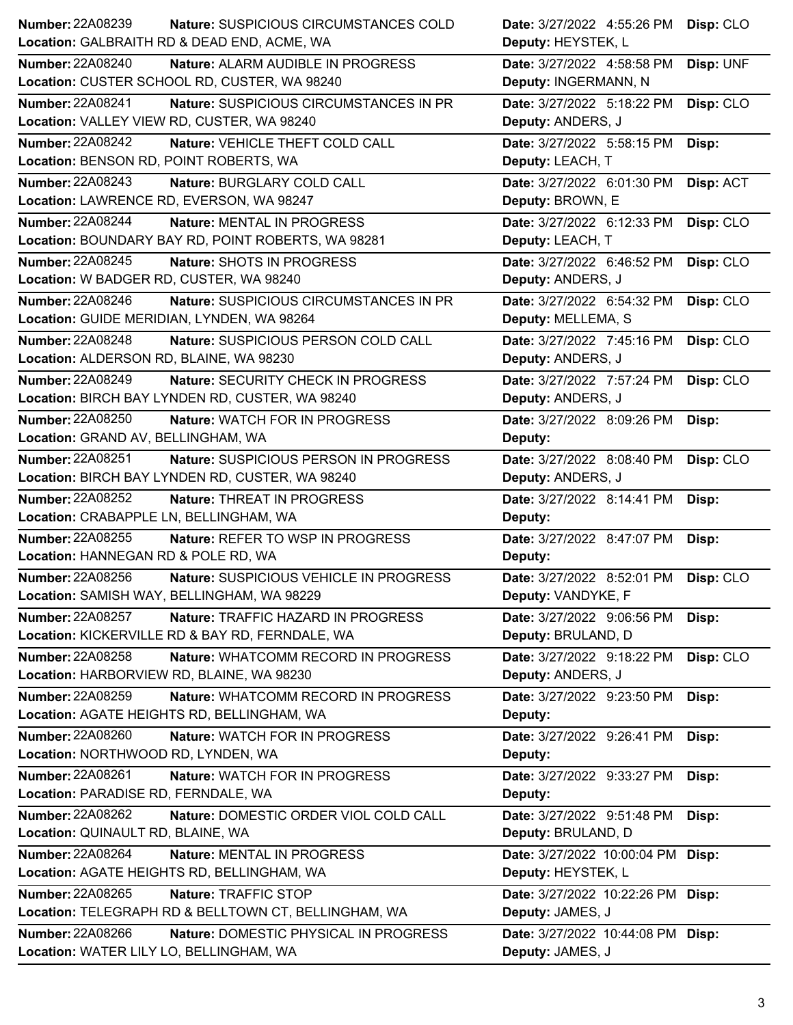| Number: 22A08239                                   | <b>Nature: SUSPICIOUS CIRCUMSTANCES COLD</b>         | Date: 3/27/2022 4:55:26 PM        | Disp: CLO |
|----------------------------------------------------|------------------------------------------------------|-----------------------------------|-----------|
| Location: GALBRAITH RD & DEAD END, ACME, WA        |                                                      | Deputy: HEYSTEK, L                |           |
| <b>Number: 22A08240</b>                            | Nature: ALARM AUDIBLE IN PROGRESS                    | Date: 3/27/2022 4:58:58 PM        | Disp: UNF |
| Location: CUSTER SCHOOL RD, CUSTER, WA 98240       |                                                      | Deputy: INGERMANN, N              |           |
| <b>Number: 22A08241</b>                            | Nature: SUSPICIOUS CIRCUMSTANCES IN PR               | Date: 3/27/2022 5:18:22 PM        | Disp: CLO |
| Location: VALLEY VIEW RD, CUSTER, WA 98240         |                                                      | Deputy: ANDERS, J                 |           |
| <b>Number: 22A08242</b>                            | Nature: VEHICLE THEFT COLD CALL                      | Date: 3/27/2022 5:58:15 PM        | Disp:     |
| Location: BENSON RD, POINT ROBERTS, WA             |                                                      | Deputy: LEACH, T                  |           |
| <b>Number: 22A08243</b>                            | Nature: BURGLARY COLD CALL                           | Date: 3/27/2022 6:01:30 PM        | Disp: ACT |
| Location: LAWRENCE RD, EVERSON, WA 98247           |                                                      | Deputy: BROWN, E                  |           |
| <b>Number: 22A08244</b>                            | Nature: MENTAL IN PROGRESS                           | Date: 3/27/2022 6:12:33 PM        | Disp: CLO |
| Location: BOUNDARY BAY RD, POINT ROBERTS, WA 98281 |                                                      | Deputy: LEACH, T                  |           |
| <b>Number: 22A08245</b>                            | Nature: SHOTS IN PROGRESS                            | Date: 3/27/2022 6:46:52 PM        | Disp: CLO |
| Location: W BADGER RD, CUSTER, WA 98240            |                                                      | Deputy: ANDERS, J                 |           |
| Number: 22A08246                                   | Nature: SUSPICIOUS CIRCUMSTANCES IN PR               | Date: 3/27/2022 6:54:32 PM        | Disp: CLO |
| Location: GUIDE MERIDIAN, LYNDEN, WA 98264         |                                                      | Deputy: MELLEMA, S                |           |
| <b>Number: 22A08248</b>                            | Nature: SUSPICIOUS PERSON COLD CALL                  | Date: 3/27/2022 7:45:16 PM        | Disp: CLO |
| Location: ALDERSON RD, BLAINE, WA 98230            |                                                      | Deputy: ANDERS, J                 |           |
| Number: 22A08249                                   | Nature: SECURITY CHECK IN PROGRESS                   | Date: 3/27/2022 7:57:24 PM        | Disp: CLO |
| Location: BIRCH BAY LYNDEN RD, CUSTER, WA 98240    |                                                      | Deputy: ANDERS, J                 |           |
| <b>Number: 22A08250</b>                            | Nature: WATCH FOR IN PROGRESS                        | Date: 3/27/2022 8:09:26 PM        | Disp:     |
| Location: GRAND AV, BELLINGHAM, WA                 |                                                      | Deputy:                           |           |
| Number: 22A08251                                   | Nature: SUSPICIOUS PERSON IN PROGRESS                | Date: 3/27/2022 8:08:40 PM        | Disp: CLO |
| Location: BIRCH BAY LYNDEN RD, CUSTER, WA 98240    |                                                      | Deputy: ANDERS, J                 |           |
|                                                    |                                                      |                                   |           |
| <b>Number: 22A08252</b>                            | Nature: THREAT IN PROGRESS                           | Date: 3/27/2022 8:14:41 PM        | Disp:     |
| Location: CRABAPPLE LN, BELLINGHAM, WA             |                                                      | Deputy:                           |           |
| Number: 22A08255                                   | Nature: REFER TO WSP IN PROGRESS                     | Date: 3/27/2022 8:47:07 PM        | Disp:     |
| Location: HANNEGAN RD & POLE RD, WA                |                                                      | Deputy:                           |           |
| <b>Number: 22A08256</b>                            | Nature: SUSPICIOUS VEHICLE IN PROGRESS               | Date: 3/27/2022 8:52:01 PM        | Disp: CLO |
| Location: SAMISH WAY, BELLINGHAM, WA 98229         |                                                      | Deputy: VANDYKE, F                |           |
| Number: 22A08257                                   | Nature: TRAFFIC HAZARD IN PROGRESS                   | Date: 3/27/2022 9:06:56 PM        | Disp:     |
| Location: KICKERVILLE RD & BAY RD, FERNDALE, WA    |                                                      | Deputy: BRULAND, D                |           |
| Number: 22A08258                                   | Nature: WHATCOMM RECORD IN PROGRESS                  | Date: 3/27/2022 9:18:22 PM        | Disp: CLO |
| Location: HARBORVIEW RD, BLAINE, WA 98230          |                                                      | Deputy: ANDERS, J                 |           |
| <b>Number: 22A08259</b>                            | Nature: WHATCOMM RECORD IN PROGRESS                  | Date: 3/27/2022 9:23:50 PM        | Disp:     |
| Location: AGATE HEIGHTS RD, BELLINGHAM, WA         |                                                      | Deputy:                           |           |
| Number: 22A08260                                   | Nature: WATCH FOR IN PROGRESS                        | Date: 3/27/2022 9:26:41 PM        | Disp:     |
| Location: NORTHWOOD RD, LYNDEN, WA                 |                                                      | Deputy:                           |           |
| Number: 22A08261                                   | Nature: WATCH FOR IN PROGRESS                        | Date: 3/27/2022 9:33:27 PM        | Disp:     |
| Location: PARADISE RD, FERNDALE, WA                |                                                      | Deputy:                           |           |
| <b>Number: 22A08262</b>                            | Nature: DOMESTIC ORDER VIOL COLD CALL                | Date: 3/27/2022 9:51:48 PM        | Disp:     |
| Location: QUINAULT RD, BLAINE, WA                  |                                                      | Deputy: BRULAND, D                |           |
| Number: 22A08264                                   | Nature: MENTAL IN PROGRESS                           | Date: 3/27/2022 10:00:04 PM Disp: |           |
| Location: AGATE HEIGHTS RD, BELLINGHAM, WA         |                                                      | Deputy: HEYSTEK, L                |           |
| Number: 22A08265                                   | Nature: TRAFFIC STOP                                 | Date: 3/27/2022 10:22:26 PM Disp: |           |
|                                                    | Location: TELEGRAPH RD & BELLTOWN CT, BELLINGHAM, WA | Deputy: JAMES, J                  |           |
| <b>Number: 22A08266</b>                            | Nature: DOMESTIC PHYSICAL IN PROGRESS                | Date: 3/27/2022 10:44:08 PM Disp: |           |